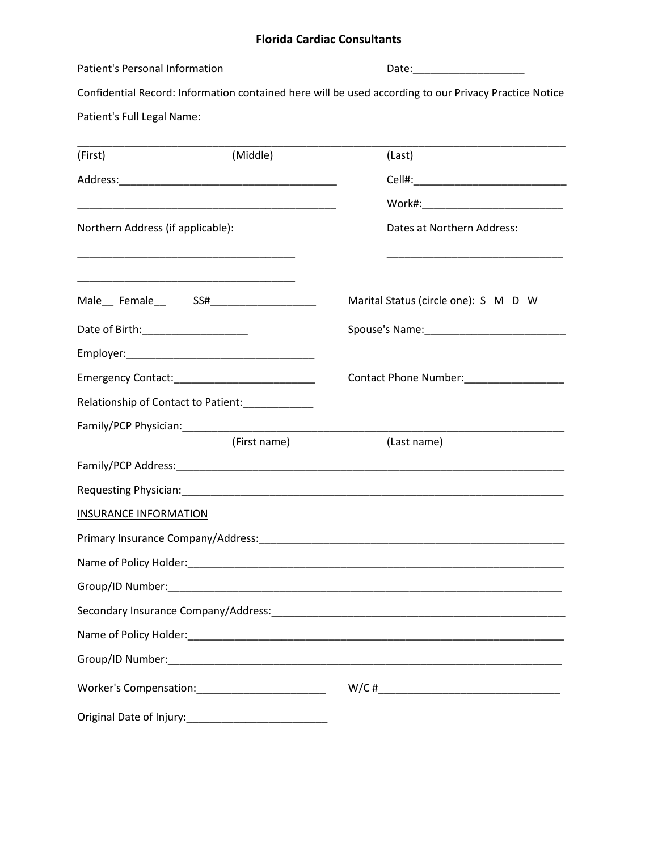## **Florida Cardiac Consultants**

| Patient's Personal Information       |                                                                                                                       |                                                                                                                                                                                                                                |  |  |
|--------------------------------------|-----------------------------------------------------------------------------------------------------------------------|--------------------------------------------------------------------------------------------------------------------------------------------------------------------------------------------------------------------------------|--|--|
|                                      |                                                                                                                       | Confidential Record: Information contained here will be used according to our Privacy Practice Notice                                                                                                                          |  |  |
| Patient's Full Legal Name:           |                                                                                                                       |                                                                                                                                                                                                                                |  |  |
| (First)                              | (Middle)                                                                                                              | (Last)                                                                                                                                                                                                                         |  |  |
|                                      |                                                                                                                       |                                                                                                                                                                                                                                |  |  |
|                                      |                                                                                                                       |                                                                                                                                                                                                                                |  |  |
|                                      | <u> 1989 - Johann John Stone, mars eta biztanleria (h. 1989).</u>                                                     |                                                                                                                                                                                                                                |  |  |
| Northern Address (if applicable):    |                                                                                                                       | Dates at Northern Address:                                                                                                                                                                                                     |  |  |
|                                      | <u> 1989 - Johann John Stein, markin fan it ferskearre fan it ferskearre fan it ferskearre fan it ferskearre fan </u> |                                                                                                                                                                                                                                |  |  |
| Male Female SS#________________      |                                                                                                                       | Marital Status (circle one): S M D W                                                                                                                                                                                           |  |  |
| Date of Birth: _____________________ |                                                                                                                       |                                                                                                                                                                                                                                |  |  |
|                                      |                                                                                                                       |                                                                                                                                                                                                                                |  |  |
|                                      |                                                                                                                       |                                                                                                                                                                                                                                |  |  |
|                                      | Relationship of Contact to Patient:<br><u> </u>                                                                       |                                                                                                                                                                                                                                |  |  |
|                                      |                                                                                                                       |                                                                                                                                                                                                                                |  |  |
|                                      | (First name)                                                                                                          | (Last name)                                                                                                                                                                                                                    |  |  |
|                                      |                                                                                                                       |                                                                                                                                                                                                                                |  |  |
|                                      |                                                                                                                       | Requesting Physician: Marian Communication of the Communication of the Communication of the Communication of the Communication of the Communication of the Communication of the Communication of the Communication of the Comm |  |  |
| <b>INSURANCE INFORMATION</b>         |                                                                                                                       |                                                                                                                                                                                                                                |  |  |
| Primary Insurance Company/Address:   |                                                                                                                       |                                                                                                                                                                                                                                |  |  |
|                                      |                                                                                                                       |                                                                                                                                                                                                                                |  |  |
|                                      |                                                                                                                       |                                                                                                                                                                                                                                |  |  |
|                                      |                                                                                                                       |                                                                                                                                                                                                                                |  |  |
|                                      |                                                                                                                       |                                                                                                                                                                                                                                |  |  |
|                                      |                                                                                                                       |                                                                                                                                                                                                                                |  |  |
|                                      |                                                                                                                       |                                                                                                                                                                                                                                |  |  |
|                                      |                                                                                                                       |                                                                                                                                                                                                                                |  |  |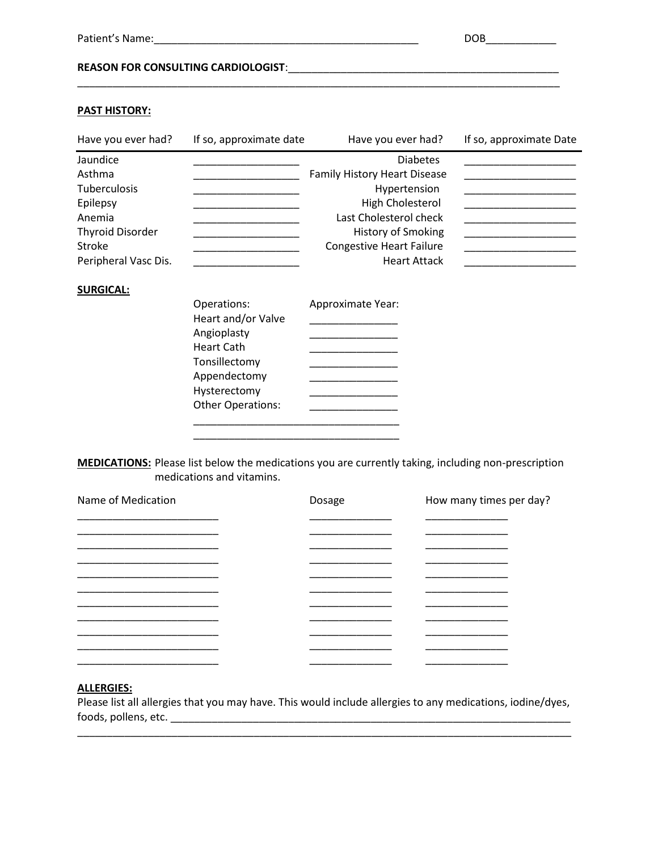### **REASON FOR CONSULTING CARDIOLOGIST**:\_\_\_\_\_\_\_\_\_\_\_\_\_\_\_\_\_\_\_\_\_\_\_\_\_\_\_\_\_\_\_\_\_\_\_\_\_\_\_\_\_\_\_\_\_\_

#### **PAST HISTORY:**

| Have you ever had?                                                                                                           | If so, approximate date                                               | Have you ever had?                                                                                                                                                                                                 | If so, approximate Date |
|------------------------------------------------------------------------------------------------------------------------------|-----------------------------------------------------------------------|--------------------------------------------------------------------------------------------------------------------------------------------------------------------------------------------------------------------|-------------------------|
| Jaundice<br>Asthma<br>Tuberculosis<br>Epilepsy<br>Anemia<br><b>Thyroid Disorder</b><br><b>Stroke</b><br>Peripheral Vasc Dis. |                                                                       | <b>Diabetes</b><br><b>Family History Heart Disease</b><br>Hypertension<br><b>High Cholesterol</b><br>Last Cholesterol check<br><b>History of Smoking</b><br><b>Congestive Heart Failure</b><br><b>Heart Attack</b> |                         |
| <b>SURGICAL:</b>                                                                                                             | Operations:<br>Heart and/or Valve<br>Angioplasty<br><b>Heart Cath</b> | Approximate Year:                                                                                                                                                                                                  |                         |

**MEDICATIONS:** Please list below the medications you are currently taking, including non-prescription medications and vitamins.

Tonsillectomy \_\_\_\_\_\_\_\_\_\_\_\_\_\_\_ Appendectomy \_\_\_\_\_\_\_\_\_\_\_\_\_\_\_\_ Hysterectomy \_\_\_\_\_\_\_\_\_\_\_\_\_\_\_ Other Operations: \_\_\_\_\_\_\_\_\_\_\_\_\_\_\_ \_\_\_\_\_\_\_\_\_\_\_\_\_\_\_\_\_\_\_\_\_\_\_\_\_\_\_\_\_\_\_\_\_\_\_ \_\_\_\_\_\_\_\_\_\_\_\_\_\_\_\_\_\_\_\_\_\_\_\_\_\_\_\_\_\_\_\_\_\_\_

| Name of Medication | Dosage | How many times per day? |
|--------------------|--------|-------------------------|
|                    |        |                         |
|                    |        |                         |
|                    |        |                         |
|                    |        |                         |
|                    |        |                         |
|                    |        |                         |
|                    |        |                         |

#### **ALLERGIES:**

Please list all allergies that you may have. This would include allergies to any medications, iodine/dyes,  $\mathsf{foods}, \mathsf{pollens}, \mathsf{etc}.$   $\blacksquare$ 

\_\_\_\_\_\_\_\_\_\_\_\_\_\_\_\_\_\_\_\_\_\_\_\_\_\_\_\_\_\_\_\_\_\_\_\_\_\_\_\_\_\_\_\_\_\_\_\_\_\_\_\_\_\_\_\_\_\_\_\_\_\_\_\_\_\_\_\_\_\_\_\_\_\_\_\_\_\_\_\_\_\_\_\_

\_\_\_\_\_\_\_\_\_\_\_\_\_\_\_\_\_\_\_\_\_\_\_\_\_\_\_\_\_\_\_\_\_\_\_\_\_\_\_\_\_\_\_\_\_\_\_\_\_\_\_\_\_\_\_\_\_\_\_\_\_\_\_\_\_\_\_\_\_\_\_\_\_\_\_\_\_\_\_\_\_\_